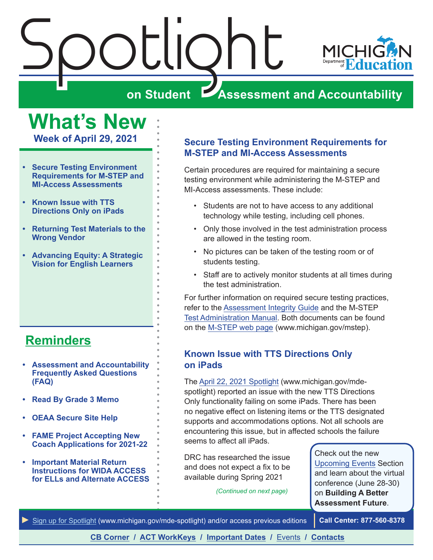<span id="page-0-0"></span>



# **Assessment and Accountability**

**What's New**

**Week of April 29, 2021**

- **• Secure Testing Environment Requirements for M-STEP and MI-Access Assessments**
- **• Known Issue with TTS Directions Only on iPads**
- **• [Returning Test Materials to the](#page-1-0)  [Wrong Vendor](#page-1-0)**
- **• [Advancing Equity: A Strategic](#page-1-0)  [Vision for English Learners](#page-1-0)**

# **[Reminders](#page-2-0)**

- **• [Assessment and Accountability](#page-2-1)  [Frequently Asked Questions](#page-2-1)  [\(FAQ\)](#page-2-1)**
- **• [Read By Grade 3 Memo](#page-2-1)**
- **• [OEAA Secure Site Help](#page-2-1)**
- **• [FAME Project Accepting New](#page-2-1)  [Coach Applications for 2021-22](#page-2-1)**
- **• [Important Material Return](#page-2-1)  [Instructions for WIDA ACCESS](#page-2-1)  [for ELLs and Alternate ACCESS](#page-2-1)**

#### **Secure Testing Environment Requirements for M-STEP and MI-Access Assessments**

Certain procedures are required for maintaining a secure testing environment while administering the M-STEP and MI-Access assessments. These include:

- Students are not to have access to any additional technology while testing, including cell phones.
- Only those involved in the test administration process are allowed in the testing room.
- No pictures can be taken of the testing room or of students testing.
- Staff are to actively monitor students at all times during the test administration.

For further information on required secure testing practices, refer to the [Assessment Integrity Guide](https://www.michigan.gov/documents/mde/Assessment_Integrity_Guide_291950_7.pdf) and the M-STEP [Test Administration Manual](https://www.michigan.gov/documents/mde/M-STEP_Test_Administration_Manual_630729_7.pdf). Both documents can be found on the [M-STEP web page](www.michigan.gov/mstep) (www.michigan.gov/mstep).

#### **Known Issue with TTS Directions Only on iPads**

The [April 22, 2021 Spotlight](https://www.michigan.gov/documents/mde/Spotlight_4-22-21_723010_7.pdf) (www.michigan.gov/mdespotlight) reported an issue with the new TTS Directions Only functionality failing on some iPads. There has been no negative effect on listening items or the TTS designated supports and accommodations options. Not all schools are encountering this issue, but in affected schools the failure seems to affect all iPads.

DRC has researched the issue and does not expect a fix to be available during Spring 2021

*(Continued on next page)*

Check out the new [Upcoming Events](#page-11-0) Section and learn about the virtual conference (June 28-30) on **Building A Better Assessment Future**.

*►* [Sign up for Spotlight](https://public.govdelivery.com/accounts/MIMDE/subscriber/new) [\(www.michigan.gov/mde](www.michigan.gov/mde-spotlight)-spotlight) and/or access previous editions **Call Center: 877-560-8378**

**[CB Corner](#page-5-0) / [ACT WorkKeys](#page-8-0) / [Important Dates](#page-9-0) /** [Events](#page-11-0) **/ [Contacts](#page-12-0)**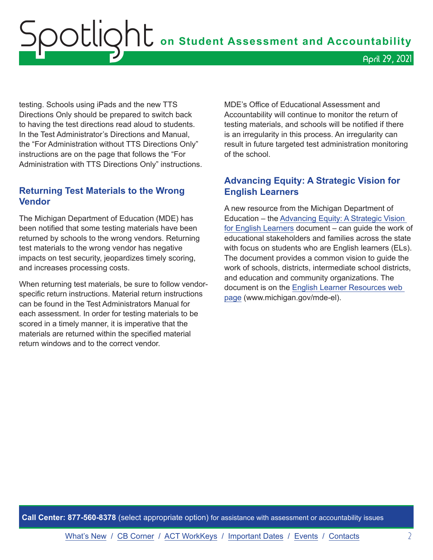<span id="page-1-0"></span>testing. Schools using iPads and the new TTS Directions Only should be prepared to switch back to having the test directions read aloud to students. In the Test Administrator's Directions and Manual, the "For Administration without TTS Directions Only" instructions are on the page that follows the "For Administration with TTS Directions Only" instructions.

#### **Returning Test Materials to the Wrong Vendor**

The Michigan Department of Education (MDE) has been notified that some testing materials have been returned by schools to the wrong vendors. Returning test materials to the wrong vendor has negative impacts on test security, jeopardizes timely scoring, and increases processing costs.

When returning test materials, be sure to follow vendorspecific return instructions. Material return instructions can be found in the Test Administrators Manual for each assessment. In order for testing materials to be scored in a timely manner, it is imperative that the materials are returned within the specified material return windows and to the correct vendor.

MDE's Office of Educational Assessment and Accountability will continue to monitor the return of testing materials, and schools will be notified if there is an irregularity in this process. An irregularity can result in future targeted test administration monitoring of the school.

#### **Advancing Equity: A Strategic Vision for English Learners**

A new resource from the Michigan Department of Education – the [Advancing Equity: A Strategic Vision](https://www.michigan.gov/documents/mde/A_Strategic_Vision_for_English_Learners_722875_7.pdf)  [for English Learners](https://www.michigan.gov/documents/mde/A_Strategic_Vision_for_English_Learners_722875_7.pdf) document – can guide the work of educational stakeholders and families across the state with focus on students who are English learners (ELs). The document provides a common vision to guide the work of schools, districts, intermediate school districts, and education and community organizations. The document is on the [English Learner Resources web](http://www.michigan.gov/mde-el)  [page](http://www.michigan.gov/mde-el) (www.michigan.gov/mde-el).

**Call Center: 877-560-8378** (select appropriate option) for assistance with assessment or accountability issues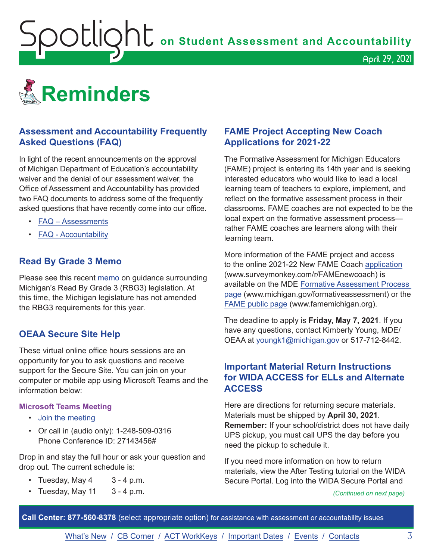<span id="page-2-1"></span>**OOUOOOO** on Student Assessment and Accountability

<span id="page-2-0"></span>

#### **Assessment and Accountability Frequently Asked Questions (FAQ)**

In light of the recent announcements on the approval of Michigan Department of Education's accountability waiver and the denial of our assessment waiver, the Office of Assessment and Accountability has provided two FAQ documents to address some of the frequently asked questions that have recently come into our office.

- [FAQ Assessments](https://www.michigan.gov/documents/mde/Spring_2021_Summative_Assessments_FAQ_721789_7.pdf)
- [FAQ Accountability](https://www.michigan.gov/documents/mde/Michigan_School_Accountability_Planning_and_Response_to_COVID-19_701197_7.pdf)

#### **Read By Grade 3 Memo**

Please see this recent [memo](https://www.michigan.gov/documents/mde/RBG3_Communicating_Parents_722309_7.pdf) on guidance surrounding Michigan's Read By Grade 3 (RBG3) legislation. At this time, the Michigan legislature has not amended the RBG3 requirements for this year.

#### **OEAA Secure Site Help**

These virtual online office hours sessions are an opportunity for you to ask questions and receive support for the Secure Site. You can join on your computer or mobile app using Microsoft Teams and the information below:

#### **Microsoft Teams Meeting**

- [Join the meeting](https://teams.microsoft.com/l/meetup-join/19%3ameeting_MzAyYzkwNTctMGU0ZC00Y2ZmLWFjNTEtZTRhYTQzN2UyMGM5%40thread.v2/0?context=%7b%22Tid%22%3a%22d5fb7087-3777-42ad-966a-892ef47225d1%22%2c%22Oid%22%3a%226100384c-b357-44a8-8e52-653af03855b7%22%7d)
- Or call in (audio only): 1-248-509-0316 Phone Conference ID: 27143456#

Drop in and stay the full hour or ask your question and drop out. The current schedule is:

- Tuesday, May  $4 \times 3 4$  p.m.
- Tuesday, May  $11 \quad 3 4$  p.m.

#### **FAME Project Accepting New Coach Applications for 2021-22**

The Formative Assessment for Michigan Educators (FAME) project is entering its 14th year and is seeking interested educators who would like to lead a local learning team of teachers to explore, implement, and reflect on the formative assessment process in their classrooms. FAME coaches are not expected to be the local expert on the formative assessment process rather FAME coaches are learners along with their learning team.

April 29, 2021

More information of the FAME project and access to the online 2021-22 New FAME Coach [application](https://www.surveymonkey.com/r/FAMEnewcoach) (www.surveymonkey.com/r/FAMEnewcoach) is available on the MDE [Formative Assessment Process](http://www.michigan.gov/formativeassessment)  [page](http://www.michigan.gov/formativeassessment) (www.michigan.gov/formativeassessment) or the [FAME public page](http://www.FAMEMichigan.org) (www.famemichigan.org).

The deadline to apply is **Friday, May 7, 2021**. If you have any questions, contact Kimberly Young, MDE/ OEAA at [youngk1@michigan.gov](mailto:youngk1%40michigan.gov?subject=) or 517-712-8442.

#### **Important Material Return Instructions for WIDA ACCESS for ELLs and Alternate ACCESS**

Here are directions for returning secure materials. Materials must be shipped by **April 30, 2021**. **Remember:** If your school/district does not have daily UPS pickup, you must call UPS the day before you need the pickup to schedule it.

If you need more information on how to return materials, view the After Testing tutorial on the WIDA Secure Portal. Log into the WIDA Secure Portal and

*(Continued on next page)*

**Call Center: 877-560-8378** (select appropriate option) for assistance with assessment or accountability issues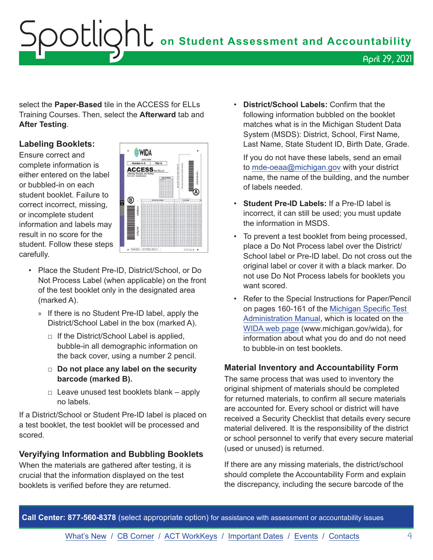# Spotlight **on Student Assessment and Accountability** April 29, 2021

select the **Paper-Based** tile in the ACCESS for ELLs Training Courses. Then, select the **Afterward** tab and **After Testing**.

#### **Labeling Booklets:**

Ensure correct and complete information is either entered on the label or bubbled-in on each student booklet. Failure to correct incorrect, missing, or incomplete student information and labels may result in no score for the student. Follow these steps carefully.



- Place the Student Pre-ID, District/School, or Do Not Process Label (when applicable) on the front of the test booklet only in the designated area (marked A).
	- » If there is no Student Pre-ID label, apply the District/School Label in the box (marked A).
		- $\Box$  If the District/School Label is applied, bubble-in all demographic information on the back cover, using a number 2 pencil.
		- □ **Do not place any label on the security barcode (marked B).**
		- $\Box$  Leave unused test booklets blank apply no labels.

If a District/School or Student Pre-ID label is placed on a test booklet, the test booklet will be processed and scored.

#### **Veryifying Information and Bubbling Booklets**

When the materials are gathered after testing, it is crucial that the information displayed on the test booklets is verified before they are returned.

• **District/School Labels:** Confirm that the following information bubbled on the booklet matches what is in the Michigan Student Data System (MSDS): District, School, First Name, Last Name, State Student ID, Birth Date, Grade.

If you do not have these labels, send an email to [mde-oeaa@michigan.gov](mailto:mde-oeaa%40michigan.gov?subject=) with your district name, the name of the building, and the number of labels needed.

- **Student Pre-ID Labels:** If a Pre-ID label is incorrect, it can still be used; you must update the information in MSDS.
- To prevent a test booklet from being processed, place a Do Not Process label over the District/ School label or Pre-ID label. Do not cross out the original label or cover it with a black marker. Do not use Do Not Process labels for booklets you want scored.
- Refer to the Special Instructions for Paper/Pencil on pages 160-161 of the [Michigan Specific Test](https://www.michigan.gov/documents/mde/WIDA_Michigan_Specific_TAM_635431_7.pdf)  [Administration Manual](https://www.michigan.gov/documents/mde/WIDA_Michigan_Specific_TAM_635431_7.pdf), which is located on the [WIDA web page](www.michigan.gov/wida) (www.michigan.gov/wida), for information about what you do and do not need to bubble-in on test booklets.

#### **Material Inventory and Accountability Form**

The same process that was used to inventory the original shipment of materials should be completed for returned materials, to confirm all secure materials are accounted for. Every school or district will have received a Security Checklist that details every secure material delivered. It is the responsibility of the district or school personnel to verify that every secure material (used or unused) is returned.

If there are any missing materials, the district/school should complete the Accountability Form and explain the discrepancy, including the secure barcode of the

**Call Center: 877-560-8378** (select appropriate option) for assistance with assessment or accountability issues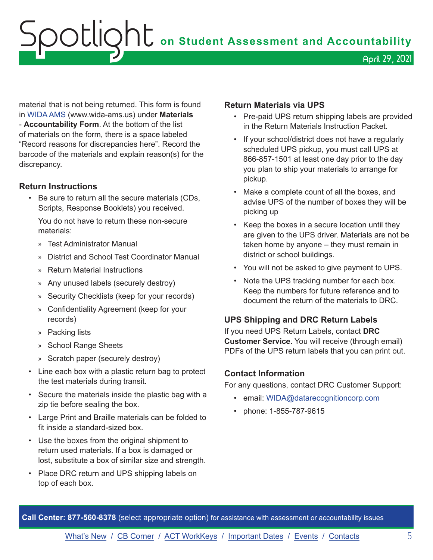OOCLIQht on Student Assessment and Accountability April 29, 2021

material that is not being returned. This form is found in [WIDA AMS](https://www.wida-ams.us/) (www.wida-ams.us) under **Materials** - **Accountability Form**. At the bottom of the list of materials on the form, there is a space labeled "Record reasons for discrepancies here". Record the barcode of the materials and explain reason(s) for the discrepancy.

#### **Return Instructions**

• Be sure to return all the secure materials (CDs, Scripts, Response Booklets) you received.

You do not have to return these non-secure materials:

- » Test Administrator Manual
- » District and School Test Coordinator Manual
- » Return Material Instructions
- » Any unused labels (securely destroy)
- » Security Checklists (keep for your records)
- » Confidentiality Agreement (keep for your records)
- » Packing lists
- » School Range Sheets
- » Scratch paper (securely destroy)
- Line each box with a plastic return bag to protect the test materials during transit.
- Secure the materials inside the plastic bag with a zip tie before sealing the box.
- Large Print and Braille materials can be folded to fit inside a standard-sized box.
- Use the boxes from the original shipment to return used materials. If a box is damaged or lost, substitute a box of similar size and strength.
- Place DRC return and UPS shipping labels on top of each box.

#### **Return Materials via UPS**

- Pre-paid UPS return shipping labels are provided in the Return Materials Instruction Packet.
- If your school/district does not have a regularly scheduled UPS pickup, you must call UPS at 866-857-1501 at least one day prior to the day you plan to ship your materials to arrange for pickup.
- Make a complete count of all the boxes, and advise UPS of the number of boxes they will be picking up
- Keep the boxes in a secure location until they are given to the UPS driver. Materials are not be taken home by anyone – they must remain in district or school buildings.
- You will not be asked to give payment to UPS.
- Note the UPS tracking number for each box. Keep the numbers for future reference and to document the return of the materials to DRC.

#### **UPS Shipping and DRC Return Labels**

If you need UPS Return Labels, contact **DRC Customer Service**. You will receive (through email) PDFs of the UPS return labels that you can print out.

#### **Contact Information**

For any questions, contact DRC Customer Support:

- email: [WIDA@datarecognitioncorp.com](mailto:WIDA%40datarecognitioncorp.com?subject=)
- phone: 1-855-787-9615

**Call Center: 877-560-8378** (select appropriate option) for assistance with assessment or accountability issues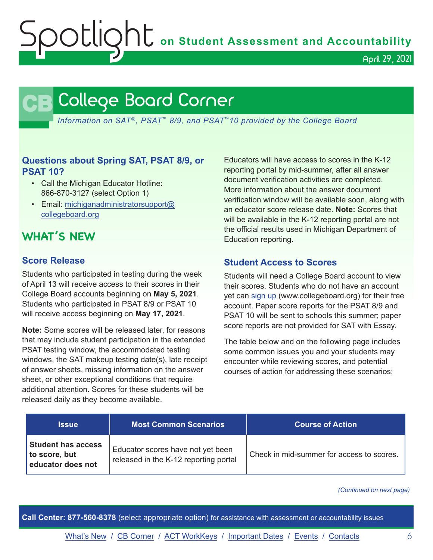OOCLIQhC on Student Assessment and Accountability

April 29, 2021

# **CB** College Board Corner

<span id="page-5-0"></span>*Information on SAT*®*, PSAT*™ *8/9, and PSAT*™*10 provided by the College Board*

#### **Questions about Spring SAT, PSAT 8/9, or PSAT 10?**

- Call the Michigan Educator Hotline: 866-870-3127 (select Option 1)
- Email: [michiganadministratorsupport@](mailto:michiganadministratorsupport%40collegeboard.org?subject=) [collegeboard.org](mailto:michiganadministratorsupport%40collegeboard.org?subject=)

## **WHAT'S NEW**

#### **Score Release**

Students who participated in testing during the week of April 13 will receive access to their scores in their College Board accounts beginning on **May 5, 2021**. Students who participated in PSAT 8/9 or PSAT 10 will receive access beginning on **May 17, 2021**.

**Note:** Some scores will be released later, for reasons that may include student participation in the extended PSAT testing window, the accommodated testing windows, the SAT makeup testing date(s), late receipt of answer sheets, missing information on the answer sheet, or other exceptional conditions that require additional attention. Scores for these students will be released daily as they become available.

Educators will have access to scores in the K-12 reporting portal by mid-summer, after all answer document verification activities are completed. More information about the answer document verification window will be available soon, along with an educator score release date. **Note:** Scores that will be available in the K-12 reporting portal are not the official results used in Michigan Department of Education reporting.

#### **Student Access to Scores**

Students will need a College Board account to view their scores. Students who do not have an account yet can [sign up](http://www.collegeboard.org) (www.collegeboard.org) for their free account. Paper score reports for the PSAT 8/9 and PSAT 10 will be sent to schools this summer; paper score reports are not provided for SAT with Essay.

The table below and on the following page includes some common issues you and your students may encounter while reviewing scores, and potential courses of action for addressing these scenarios:

| <b>Issue</b>                                                    | <b>Most Common Scenarios</b>                                               | <b>Course of Action</b>                   |
|-----------------------------------------------------------------|----------------------------------------------------------------------------|-------------------------------------------|
| <b>Student has access</b><br>to score, but<br>educator does not | Educator scores have not yet been<br>released in the K-12 reporting portal | Check in mid-summer for access to scores. |

*(Continued on next page)*

**Call Center: 877-560-8378** (select appropriate option) for assistance with assessment or accountability issues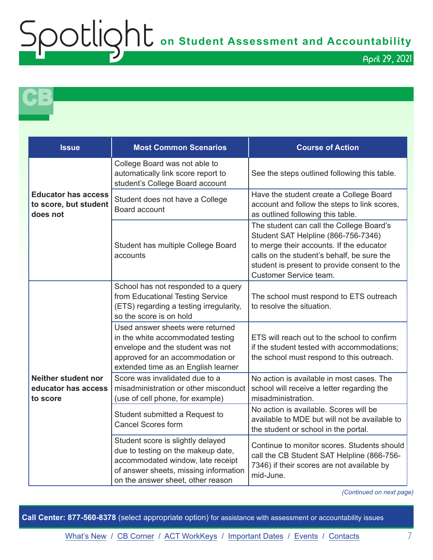# Spotlight **on Student Assessment and Accountability**

April 29, 2021

**CB** 

| <b>Issue</b>                                                    | <b>Most Common Scenarios</b>                                                                                                                                                               | <b>Course of Action</b>                                                                                                                                                                                                                             |
|-----------------------------------------------------------------|--------------------------------------------------------------------------------------------------------------------------------------------------------------------------------------------|-----------------------------------------------------------------------------------------------------------------------------------------------------------------------------------------------------------------------------------------------------|
| <b>Educator has access</b><br>to score, but student<br>does not | College Board was not able to<br>automatically link score report to<br>student's College Board account                                                                                     | See the steps outlined following this table.                                                                                                                                                                                                        |
|                                                                 | Student does not have a College<br>Board account                                                                                                                                           | Have the student create a College Board<br>account and follow the steps to link scores,<br>as outlined following this table.                                                                                                                        |
|                                                                 | Student has multiple College Board<br>accounts                                                                                                                                             | The student can call the College Board's<br>Student SAT Helpline (866-756-7346)<br>to merge their accounts. If the educator<br>calls on the student's behalf, be sure the<br>student is present to provide consent to the<br>Customer Service team. |
| <b>Neither student nor</b><br>educator has access<br>to score   | School has not responded to a query<br>from Educational Testing Service<br>(ETS) regarding a testing irregularity,<br>so the score is on hold                                              | The school must respond to ETS outreach<br>to resolve the situation.                                                                                                                                                                                |
|                                                                 | Used answer sheets were returned<br>in the white accommodated testing<br>envelope and the student was not<br>approved for an accommodation or<br>extended time as an English learner       | ETS will reach out to the school to confirm<br>if the student tested with accommodations:<br>the school must respond to this outreach.                                                                                                              |
|                                                                 | Score was invalidated due to a<br>misadministration or other misconduct<br>(use of cell phone, for example)                                                                                | No action is available in most cases. The<br>school will receive a letter regarding the<br>misadministration.                                                                                                                                       |
|                                                                 | Student submitted a Request to<br><b>Cancel Scores form</b>                                                                                                                                | No action is available. Scores will be<br>available to MDE but will not be available to<br>the student or school in the portal.                                                                                                                     |
|                                                                 | Student score is slightly delayed<br>due to testing on the makeup date,<br>accommodated window, late receipt<br>of answer sheets, missing information<br>on the answer sheet, other reason | Continue to monitor scores. Students should<br>call the CB Student SAT Helpline (866-756-<br>7346) if their scores are not available by<br>mid-June.                                                                                                |

*(Continued on next page)*

**Call Center: 877-560-8378** (select appropriate option) for assistance with assessment or accountability issues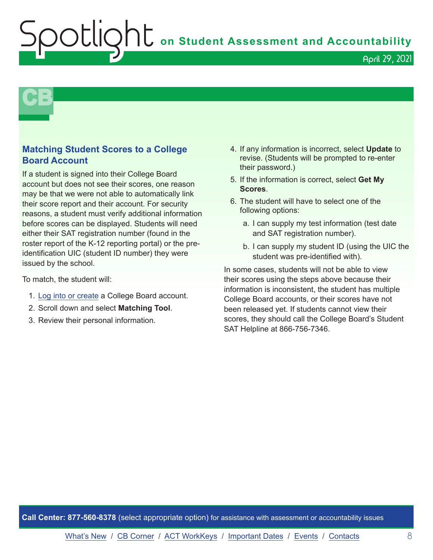**OU** on Student Assessment and Accountability

#### April 29, 2021

# **CB**

#### **Matching Student Scores to a College Board Account**

If a student is signed into their College Board account but does not see their scores, one reason may be that we were not able to automatically link their score report and their account. For security reasons, a student must verify additional information before scores can be displayed. Students will need either their SAT registration number (found in the roster report of the K-12 reporting portal) or the preidentification UIC (student ID number) they were issued by the school.

To match, the student will:

- 1. [Log into or create](https://account.collegeboard.org/login/login?appId=301&DURL=https://studentscores.collegeboard.org/viewscore&SFMC_cid=EM141071-&rid=47369301) a College Board account.
- 2. Scroll down and select **Matching Tool**.
- 3. Review their personal information.
- 4. If any information is incorrect, select **Update** to revise. (Students will be prompted to re-enter their password.)
- 5. If the information is correct, select **Get My Scores**.
- 6. The student will have to select one of the following options:
	- a. I can supply my test information (test date and SAT registration number).
	- b. I can supply my student ID (using the UIC the student was pre-identified with).

In some cases, students will not be able to view their scores using the steps above because their information is inconsistent, the student has multiple College Board accounts, or their scores have not been released yet. If students cannot view their scores, they should call the College Board's Student SAT Helpline at 866-756-7346.

**Call Center: 877-560-8378** (select appropriate option) for assistance with assessment or accountability issues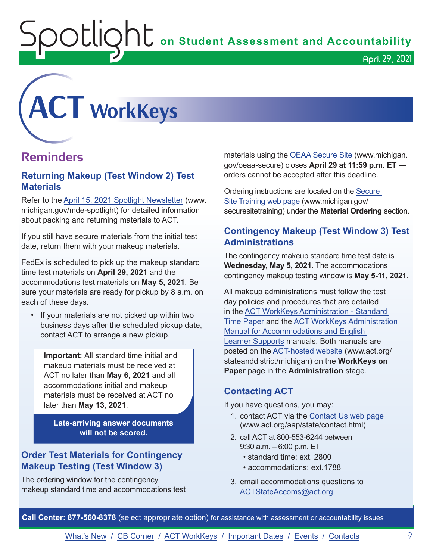OUIQhL on Student Assessment and Accountability

<span id="page-8-0"></span>

## **Reminders**

#### **Returning Makeup (Test Window 2) Test Materials**

Refer to the [April 15, 2021 Spotlight Newsletter](https://www.michigan.gov/documents/mde/Spotlight_4-15-21_722351_7.pdf) (www. michigan.gov/mde-spotlight) for detailed information about packing and returning materials to ACT.

If you still have secure materials from the initial test date, return them with your makeup materials.

FedEx is scheduled to pick up the makeup standard time test materials on **April 29, 2021** and the accommodations test materials on **May 5, 2021**. Be sure your materials are ready for pickup by 8 a.m. on each of these days.

• If your materials are not picked up within two business days after the scheduled pickup date, contact ACT to arrange a new pickup.

**Important:** All standard time initial and makeup materials must be received at ACT no later than **May 6, 2021** and all accommodations initial and makeup materials must be received at ACT no later than **May 13, 2021**.

**Late-arriving answer documents will not be scored.** 

#### **Order Test Materials for Contingency Makeup Testing (Test Window 3)**

The ordering window for the contingency makeup standard time and accommodations test materials using the [OEAA Secure Site](http://www.michigan.gov/oeaa-secure) (www.michigan. gov/oeaa-secure) closes **April 29 at 11:59 p.m. ET** orders cannot be accepted after this deadline.

April 29, 2021

Ordering instructions are located on the [Secure](http://www.michigan.gov/securesitetraining)  [Site Training web page](http://www.michigan.gov/securesitetraining) (www.michigan.gov/ securesitetraining) under the **Material Ordering** section.

#### **Contingency Makeup (Test Window 3) Test Administrations**

The contingency makeup standard time test date is **Wednesday, May 5, 2021**. The accommodations contingency makeup testing window is **May 5-11, 2021**.

All makeup administrations must follow the test day policies and procedures that are detailed in the [ACT WorkKeys Administration - Standard](http://www.act.org/content/dam/act/secured/documents/pdfs/WK-Admin-SD-Std-Time-Paper-Secured.pdf)  [Time Paper](http://www.act.org/content/dam/act/secured/documents/pdfs/WK-Admin-SD-Std-Time-Paper-Secured.pdf) and the [ACT WorkKeys Administration](http://www.act.org/content/dam/act/secured/documents/pdfs/WK-Admin-SD-Accoms-Secured.pdf)  [Manual for Accommodations and English](http://www.act.org/content/dam/act/secured/documents/pdfs/WK-Admin-SD-Accoms-Secured.pdf)  [Learner Supports](http://www.act.org/content/dam/act/secured/documents/pdfs/WK-Admin-SD-Accoms-Secured.pdf) manuals. Both manuals are posted on the [ACT-hosted website](http://www.act.org/stateanddistrict/michigan) (www.act.org/ stateanddistrict/michigan) on the **WorkKeys on Paper** page in the **Administration** stage.

#### **Contacting ACT**

If you have questions, you may:

- 1. contact ACT via the [Contact Us web page](http://www.act.org/aap/state/contact.html) [\(www.act.org/aap/state/contact.html\)](https://www.act.org/aap/state/contact.html)
- 2. call ACT at 800-553-6244 between 9:30 a.m. – 6:00 p.m. ET
	- standard time: ext. 2800
	- accommodations: ext.1788
- 3. email accommodations questions to [ACTStateAccoms@act.org](mailto:ACTStateAccoms%40act.org?subject=)

**Call Center: 877-560-8378** (select appropriate option) for assistance with assessment or accountability issues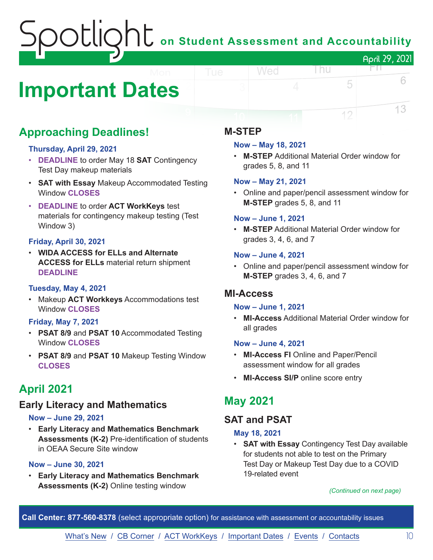# on Student Assessment and Accountability April 29, 2021

# <span id="page-9-0"></span>**Important Dates**

# **Approaching Deadlines!**

#### **Thursday, April 29, 2021**

- **DEADLINE** to order May 18 **SAT** Contingency Test Day makeup materials
- **SAT with Essay** Makeup Accommodated Testing Window **CLOSES**
- **DEADLINE** to order **ACT WorkKeys** test materials for contingency makeup testing (Test Window 3)

#### **Friday, April 30, 2021**

• **WIDA ACCESS for ELLs and Alternate ACCESS for ELLs** material return shipment **DEADLINE**

#### **Tuesday, May 4, 2021**

• Makeup **ACT Workkeys** Accommodations test Window **CLOSES**

#### **Friday, May 7, 2021**

- **PSAT 8/9** and **PSAT 10** Accommodated Testing Window **CLOSES**
- **PSAT 8/9** and **PSAT 10** Makeup Testing Window **CLOSES**

## **April 2021**

#### **Early Literacy and Mathematics**

#### **Now – June 29, 2021**

• **Early Literacy and Mathematics Benchmark Assessments (K-2)** Pre-identification of students in OEAA Secure Site window

#### **Now – June 30, 2021**

• **Early Literacy and Mathematics Benchmark Assessments (K-2)** Online testing window

#### **M-STEP**

#### **Now – May 18, 2021**

Wed

• **M-STEP** Additional Material Order window for grades 5, 8, and 11

l nu

FN.

5

12

6

13

#### **Now – May 21, 2021**

• Online and paper/pencil assessment window for **M-STEP** grades 5, 8, and 11

#### **Now – June 1, 2021**

• **M-STEP** Additional Material Order window for grades 3, 4, 6, and 7

#### **Now – June 4, 2021**

• Online and paper/pencil assessment window for **M-STEP** grades 3, 4, 6, and 7

#### **MI-Access**

#### **Now – June 1, 2021**

• **MI-Access** Additional Material Order window for all grades

#### **Now – June 4, 2021**

- **MI-Access FI** Online and Paper/Pencil assessment window for all grades
- **MI-Access SI/P** online score entry

### **May 2021**

### **SAT and PSAT**

#### **May 18, 2021**

• **SAT with Essay** Contingency Test Day available for students not able to test on the Primary Test Day or Makeup Test Day due to a COVID 19-related event

#### *(Continued on next page)*

**Call Center: 877-560-8378** (select appropriate option) for assistance with assessment or accountability issues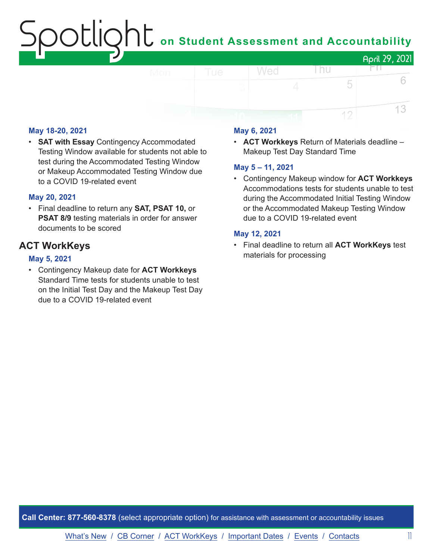# on Student Assessment and Accountability April 29, 2021

#### **May 18-20, 2021**

• **SAT with Essay** Contingency Accommodated Testing Window available for students not able to test during the Accommodated Testing Window or Makeup Accommodated Testing Window due to a COVID 19-related event

#### **May 20, 2021**

• Final deadline to return any **SAT, PSAT 10,** or **PSAT 8/9** testing materials in order for answer documents to be scored

#### **ACT WorkKeys**

#### **May 5, 2021**

• Contingency Makeup date for **ACT Workkeys** Standard Time tests for students unable to test on the Initial Test Day and the Makeup Test Day due to a COVID 19-related event

#### **May 6, 2021**

• **ACT Workkeys** Return of Materials deadline – Makeup Test Day Standard Time

l nu

5

12

FN.

6

13

#### **May 5 – 11, 2021**

Wed

• Contingency Makeup window for **ACT Workkeys** Accommodations tests for students unable to test during the Accommodated Initial Testing Window or the Accommodated Makeup Testing Window due to a COVID 19-related event

#### **May 12, 2021**

• Final deadline to return all **ACT WorkKeys** test materials for processing

**Call Center: 877-560-8378** (select appropriate option) for assistance with assessment or accountability issues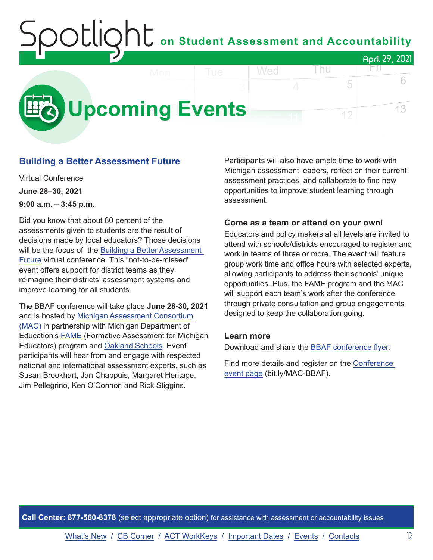### <span id="page-11-0"></span>on Student Assessment and Accountability April 29, 2021 Wed l nu HT N



#### **Building a Better Assessment Future**

Virtual Conference **June 28–30, 2021 9:00 a.m. – 3:45 p.m.**

Did you know that about 80 percent of the assessments given to students are the result of decisions made by local educators? Those decisions will be the focus of the [Building a Better Assessment](https://www.michiganassessmentconsortium.org/event/building-a-better-assessment-future/)  [Future](https://www.michiganassessmentconsortium.org/event/building-a-better-assessment-future/) virtual conference. This "not-to-be-missed" event offers support for district teams as they reimagine their districts' assessment systems and improve learning for all students.

The BBAF conference will take place **June 28-30, 2021** and is hosted by [Michigan Assessment Consortium](http://www.michiganassessmentconsortium.org/)  [\(MAC\)](http://www.michiganassessmentconsortium.org/) in partnership with Michigan Department of Education's [FAME](http://www.famemichigan.org/) (Formative Assessment for Michigan Educators) program and [Oakland Schools.](https://www.oakland.k12.mi.us/) Event participants will hear from and engage with respected national and international assessment experts, such as Susan Brookhart, Jan Chappuis, Margaret Heritage, Jim Pellegrino, Ken O'Connor, and Rick Stiggins.

Participants will also have ample time to work with Michigan assessment leaders, reflect on their current assessment practices, and collaborate to find new opportunities to improve student learning through assessment.

5

12

#### **Come as a team or attend on your own!**

Educators and policy makers at all levels are invited to attend with schools/districts encouraged to register and work in teams of three or more. The event will feature group work time and office hours with selected experts, allowing participants to address their schools' unique opportunities. Plus, the FAME program and the MAC will support each team's work after the conference through private consultation and group engagements designed to keep the collaboration going.

#### **Learn more**

Download and share the [BBAF conference flyer.](https://www.michiganassessmentconsortium.org/wp-content/uploads/BBAF-Flyer-1.pdf)

Find more details and register on the [Conference](https://www.michiganassessmentconsortium.org/event/building-a-better-assessment-future/)  [event page](https://www.michiganassessmentconsortium.org/event/building-a-better-assessment-future/) (bit.ly/MAC-BBAF).

**Call Center: 877-560-8378** (select appropriate option) for assistance with assessment or accountability issues

[What's New](#page-0-0) / [CB Corner](#page-5-0) / [ACT WorkKeys](#page-8-0) / [Important Dates](#page-9-0) / Events / [Contacts](#page-12-0) 12

6

13